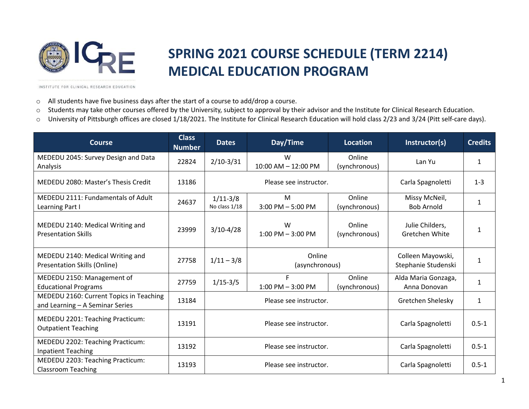

## **SPRING 2021 COURSE SCHEDULE (TERM 2214) MEDICAL EDUCATION PROGRAM**

INSTITUTE FOR CLINICAL RESEARCH EDUCATION

- o All students have five business days after the start of a course to add/drop a course.
- o Students may take other courses offered by the University, subject to approval by their advisor and the Institute for Clinical Research Education.
- o University of Pittsburgh offices are closed 1/18/2021. The Institute for Clinical Research Education will hold class 2/23 and 3/24 (Pitt self-care days).

| <b>Course</b>                                                              | <b>Class</b><br><b>Number</b> | <b>Dates</b>                | Day/Time                  | <b>Location</b>         | Instructor(s)                            | <b>Credits</b> |
|----------------------------------------------------------------------------|-------------------------------|-----------------------------|---------------------------|-------------------------|------------------------------------------|----------------|
| MEDEDU 2045: Survey Design and Data<br>Analysis                            | 22824                         | $2/10-3/31$                 | W<br>10:00 AM - 12:00 PM  | Online<br>(synchronous) | Lan Yu                                   | 1              |
| MEDEDU 2080: Master's Thesis Credit                                        | 13186                         | Please see instructor.      |                           |                         | Carla Spagnoletti                        | $1 - 3$        |
| MEDEDU 2111: Fundamentals of Adult<br>Learning Part I                      | 24637                         | $1/11-3/8$<br>No class 1/18 | M<br>$3:00$ PM $-5:00$ PM | Online<br>(synchronous) | Missy McNeil,<br><b>Bob Arnold</b>       | 1              |
| MEDEDU 2140: Medical Writing and<br><b>Presentation Skills</b>             | 23999                         | $3/10-4/28$                 | W<br>$1:00$ PM $-3:00$ PM | Online<br>(synchronous) | Julie Childers,<br>Gretchen White        |                |
| MEDEDU 2140: Medical Writing and<br><b>Presentation Skills (Online)</b>    | 27758                         | $1/11 - 3/8$                | Online<br>(asynchronous)  |                         | Colleen Mayowski,<br>Stephanie Studenski | 1              |
| MEDEDU 2150: Management of<br><b>Educational Programs</b>                  | 27759                         | $1/15 - 3/5$                | F<br>$1:00$ PM $-3:00$ PM | Online<br>(synchronous) | Alda Maria Gonzaga,<br>Anna Donovan      | $\mathbf{1}$   |
| MEDEDU 2160: Current Topics in Teaching<br>and Learning - A Seminar Series | 13184                         | Please see instructor.      |                           |                         | Gretchen Shelesky                        | $\mathbf{1}$   |
| MEDEDU 2201: Teaching Practicum:<br><b>Outpatient Teaching</b>             | 13191                         | Please see instructor.      |                           |                         | Carla Spagnoletti                        | $0.5 - 1$      |
| MEDEDU 2202: Teaching Practicum:<br><b>Inpatient Teaching</b>              | 13192                         | Please see instructor.      |                           |                         | Carla Spagnoletti                        | $0.5 - 1$      |
| MEDEDU 2203: Teaching Practicum:<br><b>Classroom Teaching</b>              | 13193                         | Please see instructor.      |                           |                         | Carla Spagnoletti                        | $0.5 - 1$      |